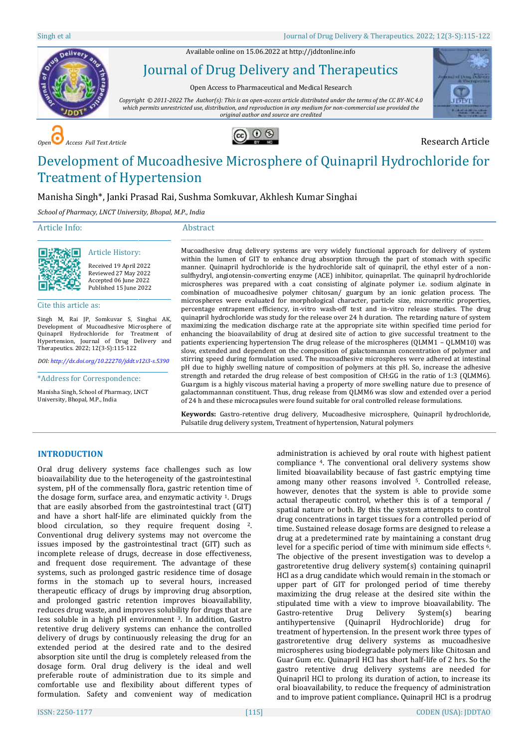Available online on 15.06.2022 a[t http://jddtonline.info](http://jddtonline.info/)



Journal of Drug Delivery and Therapeutics

Open Access to Pharmaceutical and Medical Research

*Copyright © 2011-2022 The Author(s): This is an open-access article distributed under the terms of the CC BY-NC 4.0 which permits unrestricted use, distribution, and reproduction in any medium for non-commercial use provided the original author and source are credited*



**COPEN Access Full Text Article Research Article** 



# Development of Mucoadhesive Microsphere of Quinapril Hydrochloride for Treatment of Hypertension

# Manisha Singh\*, Janki Prasad Rai, Sushma Somkuvar, Akhlesh Kumar Singhai

*School of Pharmacy, LNCT University, Bhopal, M.P., India*

# Article Info:

#### Abstract \_\_\_\_\_\_\_\_\_\_\_\_\_\_\_\_\_\_\_\_\_\_\_\_\_\_\_\_\_\_\_\_\_\_\_\_\_\_\_\_\_\_\_\_\_\_\_\_\_\_\_\_\_\_\_\_\_\_\_\_\_\_\_\_\_\_\_\_\_\_\_\_\_\_\_\_\_\_\_\_\_\_\_\_\_\_\_\_\_\_\_\_\_\_\_\_\_\_\_\_\_\_\_\_\_\_\_\_\_\_\_\_\_\_\_



Received 19 April 2022 Reviewed 27 May 2022 Accepted 06 June 2022 Published 15 June 2022

\_\_\_\_\_\_\_\_\_\_\_\_\_\_\_\_\_\_\_\_\_\_\_\_\_\_\_\_\_\_\_\_\_\_\_\_\_\_\_\_\_\_\_\_\_ Article History:

Cite this article as:

Singh M, Rai JP, Somkuvar S, Singhai AK, Development of Mucoadhesive Microsphere of Quinapril Hydrochloride for Treatment of Hypertension, Journal of Drug Delivery and Therapeutics. 2022; 12(3-S):115-122

*DOI[: http://dx.doi.org/10.22270/jddt.v12i3-s.5390](http://dx.doi.org/10.22270/jddt.v12i3-s.5390)*  \_\_\_\_\_\_\_\_\_\_\_\_\_\_\_\_\_\_\_\_\_\_\_\_\_\_\_\_\_\_\_\_\_\_\_\_\_\_\_\_\_\_\_\_

\*Address for Correspondence:

Manisha Singh, School of Pharmacy, LNCT University, Bhopal, M.P., India

Mucoadhesive drug delivery systems are very widely functional approach for delivery of system within the lumen of GIT to enhance drug absorption through the part of stomach with specific manner. Quinapril hydrochloride is the hydrochloride salt of quinapril, the ethyl ester of a nonsulfhydryl, angiotensin-converting enzyme (ACE) inhibitor, quinaprilat. The quinapril hydrochloride microspheres was prepared with a coat consisting of alginate polymer i.e. sodium alginate in combination of mucoadhesive polymer chitosan/ guargum by an ionic gelation process. The microspheres were evaluated for morphological character, particle size, micromeritic properties, percentage entrapment efficiency, in-vitro wash-off test and in-vitro release studies. The drug quinapril hydrochloride was study for the release over 24 h duration. The retarding nature of system maximizing the medication discharge rate at the appropriate site within specified time period for enhancing the bioavailability of drug at desired site of action to give successful treatment to the patients experiencing hypertension The drug release of the microspheres (QLMM1 – QLMM10) was slow, extended and dependent on the composition of galactomannan concentration of polymer and stirring speed during formulation used. The mucoadhesive microspheres were adhered at intestinal pH due to highly swelling nature of composition of polymers at this pH. So, increase the adhesive strength and retarded the drug release of best composition of CH:GG in the ratio of 1:3 (QLMM6). Guargum is a highly viscous material having a property of more swelling nature due to presence of galactommannan constituent. Thus, drug release from QLMM6 was slow and extended over a period of 24 h and these microcapsules were found suitable for oral controlled release formulations.

**Keywords:** Gastro-retentive drug delivery, Mucoadhesive microsphere, Quinapril hydrochloride, Pulsatile drug delivery system, Treatment of hypertension, Natural polymers

## **INTRODUCTION**

Oral drug delivery systems face challenges such as low bioavailability due to the heterogeneity of the gastrointestinal system, pH of the commensally flora, gastric retention time of the dosage form, surface area, and enzymatic activity  $1$ . Drugs that are easily absorbed from the gastrointestinal tract (GIT) and have a short half-life are eliminated quickly from the blood circulation, so they require frequent dosing 2. Conventional drug delivery systems may not overcome the issues imposed by the gastrointestinal tract (GIT) such as incomplete release of drugs, decrease in dose effectiveness, and frequent dose requirement. The advantage of these systems, such as prolonged gastric residence time of dosage forms in the stomach up to several hours, increased therapeutic efficacy of drugs by improving drug absorption, and prolonged gastric retention improves bioavailability, reduces drug waste, and improves solubility for drugs that are less soluble in a high pH environment <sup>3</sup>. In addition, Gastro retentive drug delivery systems can enhance the controlled delivery of drugs by continuously releasing the drug for an extended period at the desired rate and to the desired absorption site until the drug is completely released from the dosage form. Oral drug delivery is the ideal and well preferable route of administration due to its simple and comfortable use and flexibility about different types of formulation. Safety and convenient way of medication

administration is achieved by oral route with highest patient compliance 4. The conventional oral delivery systems show limited bioavailability because of fast gastric emptying time among many other reasons involved 5. Controlled release, however, denotes that the system is able to provide some actual therapeutic control, whether this is of a temporal / spatial nature or both. By this the system attempts to control drug concentrations in target tissues for a controlled period of time. Sustained release dosage forms are designed to release a drug at a predetermined rate by maintaining a constant drug level for a specific period of time with minimum side effects <sup>6</sup>. The objective of the present investigation was to develop a gastroretentive drug delivery system(s) containing quinapril HCl as a drug candidate which would remain in the stomach or upper part of GIT for prolonged period of time thereby maximizing the drug release at the desired site within the stipulated time with a view to improve bioavailability. The Gastro-retentive Drug Delivery System(s) bearing antihypertensive (Quinapril Hydrochloride) drug for treatment of hypertension. In the present work three types of gastroretentive drug delivery systems as mucoadhesive microspheres using biodegradable polymers like Chitosan and Guar Gum etc. Quinapril HCl has short half-life of 2 hrs. So the gastro retentive drug delivery systems are needed for Quinapril HCl to prolong its duration of action, to increase its oral bioavailability, to reduce the frequency of administration and to improve patient compliance**.** Quinapril HCl is a prodrug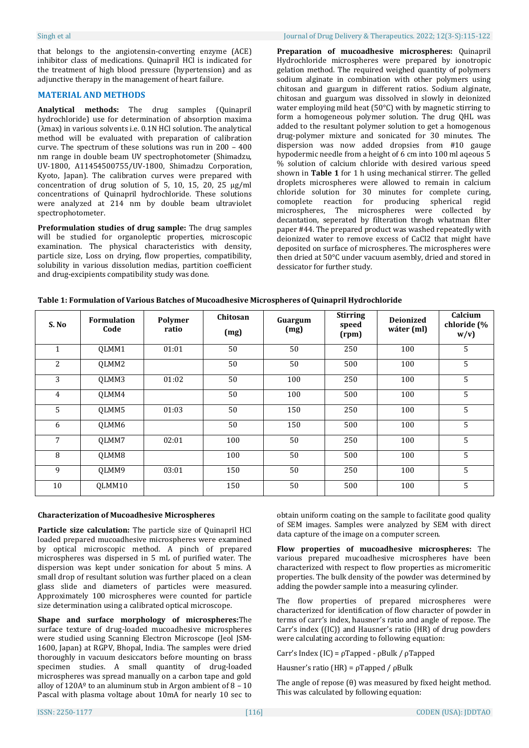that belongs to the angiotensin-converting enzyme (ACE) inhibitor class of medications. Quinapril HCl is indicated for the treatment of high blood pressure (hypertension) and as adjunctive therapy in the management of heart failure.

## **MATERIAL AND METHODS**

**Analytical methods:** The drug samples (Quinapril hydrochloride) use for determination of absorption maxima (λmax) in various solvents i.e. 0.1N HCl solution. The analytical method will be evaluated with preparation of calibration curve. The spectrum of these solutions was run in 200 – 400 nm range in double beam UV spectrophotometer (Shimadzu, UV-1800, A11454500755/UV-1800, Shimadzu Corporation, Kyoto, Japan). The calibration curves were prepared with concentration of drug solution of 5, 10, 15, 20, 25  $\mu$ g/ml concentrations of Quinapril hydrochloride. These solutions were analyzed at 214 nm by double beam ultraviolet spectrophotometer.

**Preformulation studies of drug sample:** The drug samples will be studied for organoleptic properties, microscopic examination. The physical characteristics with density, particle size, Loss on drying, flow properties, compatibility, solubility in various dissolution medias, partition coefficient and drug-excipients compatibility study was done.

**Preparation of mucoadhesive microspheres:** Quinapril Hydrochloride microspheres were prepared by ionotropic gelation method. The required weighed quantity of polymers sodium alginate in combination with other polymers using chitosan and guargum in different ratios. Sodium alginate, chitosan and guargum was dissolved in slowly in deionized water employing mild heat (50°C) with by magnetic stirring to form a homogeneous polymer solution. The drug QHL was added to the resultant polymer solution to get a homogenous drug-polymer mixture and sonicated for 30 minutes. The dispersion was now added dropsies from #10 gauge hypodermic needle from a height of 6 cm into 100 ml aqeous 5 % solution of calcium chloride with desired various speed shown in **Table 1** for 1 h using mechanical stirrer. The gelled droplets microspheres were allowed to remain in calcium chloride solution for 30 minutes for complete curing, comoplete reaction for producing spherical regid microspheres, The microspheres were collected by decantation, seperated by filteration throgh whatman filter paper #44. The prepared product was washed repeatedly with deionized water to remove excess of CaCl2 that might have deposited on surface of microspheres. The microspheres were then dried at 50°C under vacuum asembly, dried and stored in dessicator for further study.

| S. No          | <b>Formulation</b><br>Code | Polymer<br>ratio | Chitosan<br>(mg) | Guargum<br>(mg) | <b>Stirring</b><br>speed<br>(rpm) | <b>Deionized</b><br>wáter (ml) | Calcium<br>chloride (%<br>w/v |
|----------------|----------------------------|------------------|------------------|-----------------|-----------------------------------|--------------------------------|-------------------------------|
| $\mathbf{1}$   | QLMM1                      | 01:01            | 50               | 50              | 250                               | 100                            | 5                             |
| 2              | QLMM2                      |                  | 50               | 50              | 500                               | 100                            | 5                             |
| 3              | QLMM3                      | 01:02            | 50               | 100             | 250                               | 100                            | 5                             |
| $\overline{4}$ | QLMM4                      |                  | 50               | 100             | 500                               | 100                            | 5                             |
| 5              | QLMM5                      | 01:03            | 50               | 150             | 250                               | 100                            | 5                             |
| 6              | OLMM6                      |                  | 50               | 150             | 500                               | 100                            | 5                             |
| 7              | OLMM7                      | 02:01            | 100              | 50              | 250                               | 100                            | 5                             |
| 8              | QLMM8                      |                  | 100              | 50              | 500                               | 100                            | 5                             |
| 9              | QLMM9                      | 03:01            | 150              | 50              | 250                               | 100                            | 5                             |
| 10             | OLMM10                     |                  | 150              | 50              | 500                               | 100                            | 5                             |

**Table 1: Formulation of Various Batches of Mucoadhesive Microspheres of Quinapril Hydrochloride**

# **Characterization of Mucoadhesive Microspheres**

**Particle size calculation:** The particle size of Quinapril HCl loaded prepared mucoadhesive microspheres were examined by optical microscopic method. A pinch of prepared microspheres was dispersed in 5 mL of purified water. The dispersion was kept under sonication for about 5 mins. A small drop of resultant solution was further placed on a clean glass slide and diameters of particles were measured. Approximately 100 microspheres were counted for particle size determination using a calibrated optical microscope.

**Shape and surface morphology of microspheres:**The surface texture of drug-loaded mucoadhesive microspheres were studied using Scanning Electron Microscope (Jeol JSM-1600, Japan) at RGPV, Bhopal, India. The samples were dried thoroughly in vacuum desiccators before mounting on brass specimen studies. A small quantity of drug-loaded microspheres was spread manually on a carbon tape and gold alloy of  $120A<sup>o</sup>$  to an aluminum stub in Argon ambient of 8 - 10 Pascal with plasma voltage about 10mA for nearly 10 sec to

obtain uniform coating on the sample to facilitate good quality of SEM images. Samples were analyzed by SEM with direct data capture of the image on a computer screen.

**Flow properties of mucoadhesive microspheres:** The various prepared mucoadhesive microspheres have been characterized with respect to flow properties as micromeritic properties. The bulk density of the powder was determined by adding the powder sample into a measuring cylinder.

The flow properties of prepared microspheres were characterized for identification of flow character of powder in terms of carr's index, hausner's ratio and angle of repose. The Carr's index ((IC)) and Hausner's ratio (HR) of drug powders were calculating according to following equation:

Carr's Index (IC) = ρTapped - ρBulk / ρTapped

Hausner's ratio (HR) = ρTapped / ρBulk

The angle of repose (θ) was measured by fixed height method. This was calculated by following equation: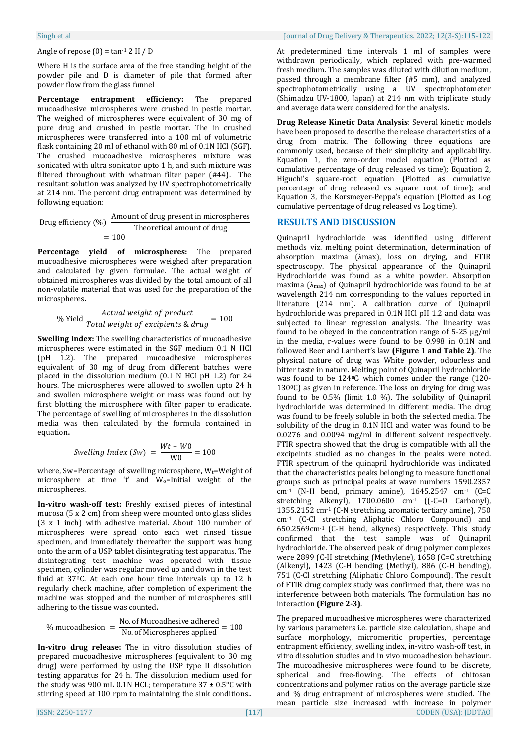#### Angle of repose  $(θ) = tan<sup>-1</sup> 2 H / D$

Where H is the surface area of the free standing height of the powder pile and D is diameter of pile that formed after powder flow from the glass funnel

**Percentage entrapment efficiency:** The prepared mucoadhesive microspheres were crushed in pestle mortar. The weighed of microspheres were equivalent of 30 mg of pure drug and crushed in pestle mortar. The in crushed microspheres were transferred into a 100 ml of volumetric flask containing 20 ml of ethanol with 80 ml of 0.1N HCl (SGF). The crushed mucoadhesive microspheres mixture was sonicated with ultra sonicator upto 1 h, and such mixture was filtered throughout with whatman filter paper (#44). The resultant solution was analyzed by UV spectrophotometrically at 214 nm. The percent drug entrapment was determined by following equation:

Drug efficiency  $(\%)$   $\frac{A}{A}$ Theoretical amount of drug  $= 100$ 

**Percentage yield of microspheres:** The prepared mucoadhesive microspheres were weighed after preparation and calculated by given formulae. The actual weight of obtained microspheres was divided by the total amount of all non-volatile material that was used for the preparation of the microspheres**.**

% Yield 
$$
\frac{Actual \ weight \ of \ product}{Total \ weight \ of \ excitants \ & \ drug} = 100
$$

**Swelling Index:** The swelling characteristics of mucoadhesive microspheres were estimated in the SGF medium 0.1 N HCl (pH 1.2). The prepared mucoadhesive microspheres equivalent of 30 mg of drug from different batches were placed in the dissolution medium (0.1 N HCl pH 1.2) for 24 hours. The microspheres were allowed to swollen upto 24 h and swollen microsphere weight or mass was found out by first blotting the microsphere with filter paper to eradicate. The percentage of swelling of microspheres in the dissolution media was then calculated by the formula contained in equation**.**

$$
Swelling Index (Sw) = \frac{Wt - W0}{W0} = 100
$$

where, Sw=Percentage of swelling microsphere,  $W_t$ =Weight of microsphere at time 't' and Wo=Initial weight of the microspheres.

**In-vitro wash-off test:** Freshly excised pieces of intestinal mucosa (5 x 2 cm) from sheep were mounted onto glass slides (3 x 1 inch) with adhesive material. About 100 number of microspheres were spread onto each wet rinsed tissue specimen, and immediately thereafter the support was hung onto the arm of a USP tablet disintegrating test apparatus. The disintegrating test machine was operated with tissue specimen, cylinder was regular moved up and down in the test fluid at 37ºC. At each one hour time intervals up to 12 h regularly check machine, after completion of experiment the machine was stopped and the number of microspheres still adhering to the tissue was counted**.**

$$
\% mucoadhesion = \frac{No. of Mucoadhesive adhered}{No. of Microspheres applied} = 100
$$

**In-vitro drug release:** The in vitro dissolution studies of prepared mucoadhesive microspheres (equivalent to 30 mg drug) were performed by using the USP type II dissolution testing apparatus for 24 h. The dissolution medium used for the study was 900 mL 0.1N HCL; temperature  $37 \pm 0.5^{\circ}$ C with stirring speed at 100 rpm to maintaining the sink conditions..

At predetermined time intervals 1 ml of samples were withdrawn periodically, which replaced with pre-warmed fresh medium. The samples was diluted with dilution medium, passed through a membrane filter (#5 mm), and analyzed spectrophotometrically using a UV spectrophotometer (Shimadzu UV-1800, Japan) at 214 nm with triplicate study and average data were considered for the analysis**.**

**Drug Release Kinetic Data Analysis**: Several kinetic models have been proposed to describe the release characteristics of a drug from matrix. The following three equations are commonly used, because of their simplicity and applicability. Equation 1, the zero-order model equation (Plotted as cumulative percentage of drug released vs time); Equation 2, Higuchi's square-root equation (Plotted as cumulative percentage of drug released vs square root of time); and Equation 3, the Korsmeyer-Peppa's equation (Plotted as Log cumulative percentage of drug released vs Log time).

## **RESULTS AND DISCUSSION**

Quinapril hydrochloride was identified using different methods viz. melting point determination, determination of absorption maxima (λmax), loss on drying, and FTIR spectroscopy. The physical appearance of the Quinapril Hydrochloride was found as a white powder. Absorption maxima (λmax) of Quinapril hydrochloride was found to be at wavelength 214 nm corresponding to the values reported in literature (214 nm). A calibration curve of Quinapril hydrochloride was prepared in 0.1N HCl pH 1.2 and data was subjected to linear regression analysis. The linearity was found to be obeyed in the concentration range of 5-25 µg/ml in the media, r-values were found to be 0.998 in 0.1N and followed Beer and Lambert's law **(Figure 1 and Table 2)**. The physical nature of drug was White powder, odourless and bitter taste in nature. Melting point of Quinapril hydrochloride was found to be 1240C which comes under the range (120-130<sup>o</sup>C) as given in reference. The loss on drying for drug was found to be 0.5% (limit 1.0 %). The solubility of Quinapril hydrochloride was determined in different media. The drug was found to be freely soluble in both the selected media. The solubility of the drug in 0.1N HCl and water was found to be 0.0276 and 0.0094 mg/ml in different solvent respectively. FTIR spectra showed that the drug is compatible with all the excipeints studied as no changes in the peaks were noted. FTIR spectrum of the quinapril hydrochloride was indicated that the characteristics peaks belonging to measure functional groups such as principal peaks at wave numbers 1590.2357  $cm<sup>-1</sup>$  (N-H bend, primary amine), 1645.2547  $cm<sup>-1</sup>$  (C=C stretching Alkenyl), 1700.0600 cm<sup>-1</sup> ((-C=O Carbonyl), 1355.2152 cm-1 (C-N stretching, aromatic tertiary amine), 750 cm-1 (C-Cl stretching Aliphatic Chloro Compound) and 650.2569cm-1 (C-H bend, alkynes) respectively. This study confirmed that the test sample was of Quinapril hydrochloride. The observed peak of drug polymer complexes were 2899 (C-H stretching (Methylene), 1658 (C=C stretching (Alkenyl), 1423 (C-H bending (Methyl), 886 (C-H bending), 751 (C-Cl stretching (Aliphatic Chloro Compound). The result of FTIR drug complex study was confirmed that, there was no interference between both materials. The formulation has no interaction **(Figure 2-3)**.

ISSN: 2250-1177 [117] CODEN (USA): JDDTAO The prepared mucoadhesive microspheres were characterized by various parameters i.e. particle size calculation, shape and surface morphology, micromeritic properties, percentage entrapment efficiency, swelling index, in-vitro wash-off test, in vitro dissolution studies and in vivo mucoadhesion behaviour. The mucoadhesive microspheres were found to be discrete, spherical and free-flowing. The effects of chitosan concentrations and polymer ratios on the average particle size and % drug entrapment of microspheres were studied. The mean particle size increased with increase in polymer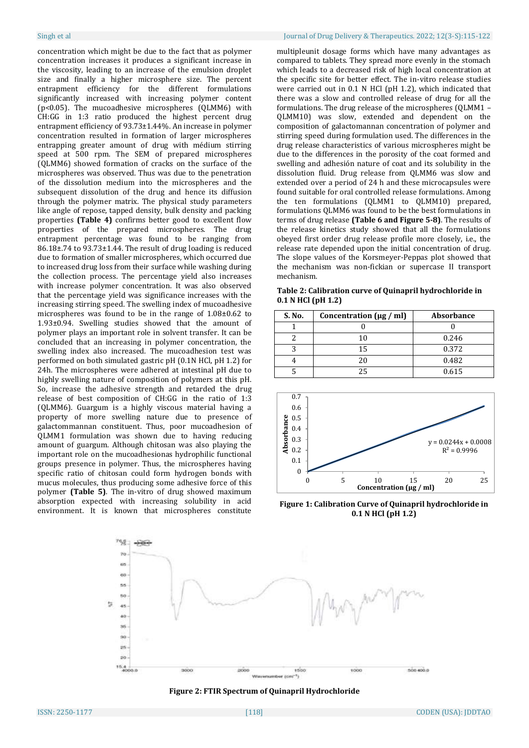concentration which might be due to the fact that as polymer concentration increases it produces a significant increase in the viscosity, leading to an increase of the emulsion droplet size and finally a higher microsphere size. The percent entrapment efficiency for the different formulations significantly increased with increasing polymer content (p<0.05). The mucoadhesive microspheres (QLMM6) with CH:GG in 1:3 ratio produced the highest percent drug entrapment efficiency of 93.73±1.44%. An increase in polymer concentration resulted in formation of larger microspheres entrapping greater amount of drug with médium stirring speed at 500 rpm. The SEM of prepared microspheres (QLMM6) showed formation of cracks on the surface of the microspheres was observed. Thus was due to the penetration of the dissolution medium into the microspheres and the subsequent dissolution of the drug and hence its diffusion through the polymer matrix. The physical study parameters like angle of repose, tapped density, bulk density and packing properties **(Table 4)** confirms better good to excellent flow properties of the prepared microspheres. The drug entrapment percentage was found to be ranging from 86.18±.74 to 93.73±1.44. The result of drug loading is reduced due to formation of smaller microspheres, which occurred due to increased drug loss from their surface while washing during the collection process. The percentage yield also increases with increase polymer concentration. It was also observed that the percentage yield was significance increases with the increasing stirring speed. The swelling index of mucoadhesive microspheres was found to be in the range of 1.08±0.62 to 1.93±0.94. Swelling studies showed that the amount of polymer plays an important role in solvent transfer. It can be concluded that an increasing in polymer concentration, the swelling index also increased. The mucoadhesion test was performed on both simulated gastric pH (0.1N HCl, pH 1.2) for 24h. The microspheres were adhered at intestinal pH due to highly swelling nature of composition of polymers at this pH. So, increase the adhesive strength and retarded the drug release of best composition of CH:GG in the ratio of 1:3 (QLMM6). Guargum is a highly viscous material having a property of more swelling nature due to presence of galactommannan constituent. Thus, poor mucoadhesion of QLMM1 formulation was shown due to having reducing amount of guargum. Although chitosan was also playing the important role on the mucoadhesionas hydrophilic functional groups presence in polymer. Thus, the microspheres having specific ratio of chitosan could form hydrogen bonds with mucus molecules, thus producing some adhesive force of this polymer **(Table 5)**. The in-vitro of drug showed maximum absorption expected with increasing solubility in acid environment. It is known that microspheres constitute

## Singh et al Journal of Drug Delivery & Therapeutics. 2022; 12(3-S):115-122

multipleunit dosage forms which have many advantages as compared to tablets. They spread more evenly in the stomach which leads to a decreased risk of high local concentration at the specific site for better effect. The in-vitro release studies were carried out in 0.1 N HCl (pH 1.2), which indicated that there was a slow and controlled release of drug for all the formulations. The drug release of the microspheres (QLMM1 – QLMM10) was slow, extended and dependent on the composition of galactomannan concentration of polymer and stirring speed during formulation used. The differences in the drug release characteristics of various microspheres might be due to the differences in the porosity of the coat formed and swelling and adhesión nature of coat and its solubility in the dissolution fluid. Drug release from QLMM6 was slow and extended over a period of 24 h and these microcapsules were found suitable for oral controlled release formulations. Among the ten formulations (QLMM1 to QLMM10) prepared, formulations QLMM6 was found to be the best formulations in terms of drug release **(Table 6 and Figure 5-8)**. The results of the release kinetics study showed that all the formulations obeyed first order drug release profile more closely, i.e., the release rate depended upon the initial concentration of drug. The slope values of the Korsmeyer-Peppas plot showed that the mechanism was non-fickian or supercase II transport mechanism.

**Table 2: Calibration curve of Quinapril hydrochloride in 0.1 N HCl (pH 1.2)**

| S. No. | Concentration $(\mu g / ml)$ | <b>Absorbance</b> |
|--------|------------------------------|-------------------|
|        |                              |                   |
|        | 1 በ                          | 0.246             |
|        | 15                           | 0.372             |
|        | 20                           | 0.482             |
|        | 25                           | 0.615             |



**Figure 1: Calibration Curve of Quinapril hydrochloride in 0.1 N HCl (pH 1.2)**



**Figure 2: FTIR Spectrum of Quinapril Hydrochloride**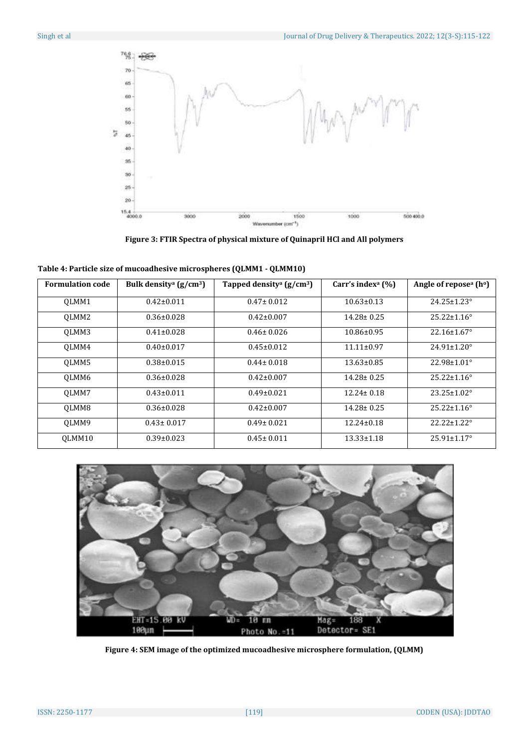

**Figure 3: FTIR Spectra of physical mixture of Quinapril HCl and All polymers**

| <b>Formulation code</b> | Bulk densitya $(g/cm3)$ | Tapped density <sup>a</sup> ( $g/cm^3$ ) | Carr's index <sup>a</sup> $(\% )$ | Angle of repose <sup>a</sup> (h <sup>o</sup> ) |
|-------------------------|-------------------------|------------------------------------------|-----------------------------------|------------------------------------------------|
| OLMM1                   | $0.42 \pm 0.011$        | $0.47 \pm 0.012$                         | $10.63 \pm 0.13$                  | $24.25 \pm 1.23^{\circ}$                       |
| OLMM <sub>2</sub>       | $0.36 \pm 0.028$        | $0.42 \pm 0.007$                         | $14.28 \pm 0.25$                  | $25.22 \pm 1.16^{\circ}$                       |
| OLMM3                   | $0.41 \pm 0.028$        | $0.46 \pm 0.026$                         | $10.86 \pm 0.95$                  | $22.16 \pm 1.67$ °                             |
| OLMM4                   | $0.40 \pm 0.017$        | $0.45 \pm 0.012$                         | $11.11 \pm 0.97$                  | $24.91 \pm 1.20^{\circ}$                       |
| OLMM5                   | $0.38 \pm 0.015$        | $0.44 \pm 0.018$                         | $13.63 \pm 0.85$                  | 22.98±1.01°                                    |
| OLMM6                   | $0.36 \pm 0.028$        | $0.42 \pm 0.007$                         | $14.28 \pm 0.25$                  | $25.22 \pm 1.16^{\circ}$                       |
| OLMM7                   | $0.43 \pm 0.011$        | $0.49 \pm 0.021$                         | $12.24 \pm 0.18$                  | $23.25 \pm 1.02^{\circ}$                       |
| OLMM8                   | $0.36 \pm 0.028$        | $0.42 \pm 0.007$                         | $14.28 \pm 0.25$                  | $25.22 \pm 1.16^{\circ}$                       |
| OLMM9                   | $0.43 \pm 0.017$        | $0.49 \pm 0.021$                         | $12.24 \pm 0.18$                  | 22.22±1.22°                                    |
| OLMM10                  | $0.39 \pm 0.023$        | $0.45 \pm 0.011$                         | $13.33 \pm 1.18$                  | $25.91 \pm 1.17$ °                             |

**Table 4: Particle size of mucoadhesive microspheres (QLMM1 - QLMM10)**



**Figure 4: SEM image of the optimized mucoadhesive microsphere formulation, (QLMM)**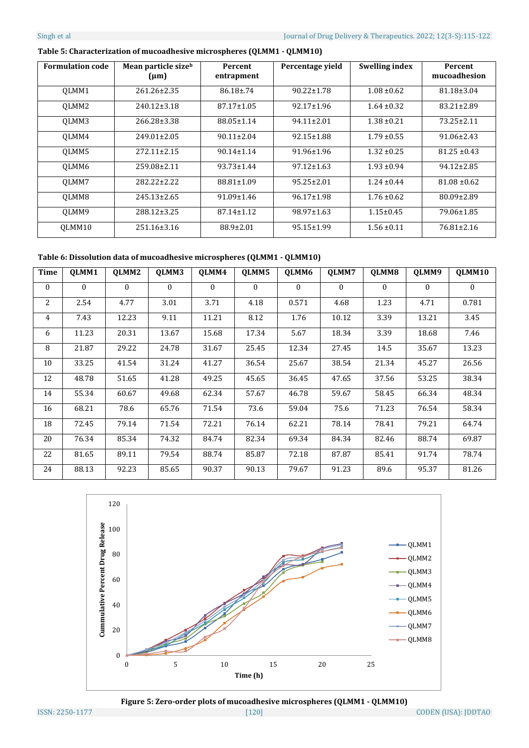| <b>Formulation code</b> | Mean particle sizeb<br>$(\mu m)$ | Percent<br>entrapment | Percentage yield | <b>Swelling index</b> | <b>Percent</b><br>mucoadhesion |
|-------------------------|----------------------------------|-----------------------|------------------|-----------------------|--------------------------------|
| OLMM1                   | 261.26±2.35                      | $86.18 \pm 0.74$      | $90.22 \pm 1.78$ | $1.08 \pm 0.62$       | $81.18 \pm 3.04$               |
| OLMM <sub>2</sub>       | 240.12±3.18                      | $87.17 \pm 1.05$      | $92.17 \pm 1.96$ | $1.64 \pm 0.32$       | $83.21 \pm 2.89$               |
| OLMM3                   | 266.28±3.38                      | $88.05 \pm 1.14$      | $94.11 \pm 2.01$ | $1.38 \pm 0.21$       | $73.25 \pm 2.11$               |
| OLMM4                   | $249.01 \pm 2.05$                | $90.11 \pm 2.04$      | $92.15 \pm 1.88$ | $1.79 \pm 0.55$       | $91.06 \pm 2.43$               |
| OLMM5                   | $272.11 \pm 2.15$                | $90.14 \pm 1.14$      | $91.96 \pm 1.96$ | $1.32 \pm 0.25$       | $81.25 \pm 0.43$               |
| OLMM6                   | 259.08±2.11                      | $93.73 \pm 1.44$      | $97.12 \pm 1.63$ | $1.93 \pm 0.94$       | $94.12 \pm 2.85$               |
| OLMM7                   | 282.22+2.22                      | 88.81±1.09            | $95.25 \pm 2.01$ | $1.24 + 0.44$         | $81.08 \pm 0.62$               |
| OLMM8                   | $245.13 \pm 2.65$                | $91.09 \pm 1.46$      | $96.17 \pm 1.98$ | $1.76 \pm 0.62$       | 80.09±2.89                     |
| OLMM9                   | 288.12±3.25                      | $87.14 \pm 1.12$      | $98.97 \pm 1.63$ | $1.15 \pm 0.45$       | 79.06±1.85                     |
| OLMM10                  | 251.16±3.16                      | $88.9 \pm 2.01$       | $95.15 \pm 1.99$ | $1.56 \pm 0.11$       | $76.81 \pm 2.16$               |

# **Table 5: Characterization of mucoadhesive microspheres (QLMM1 - QLMM10)**

**Table 6: Dissolution data of mucoadhesive microspheres (QLMM1 - QLMM10)**

| <b>Time</b> | OLMM1    | OLMM2    | OLMM3    | OLMM4    | OLMM5    | OLMM6    | OLMM7    | OLMM8    | OLMM9    | OLMM10   |
|-------------|----------|----------|----------|----------|----------|----------|----------|----------|----------|----------|
| $\Omega$    | $\theta$ | $\theta$ | $\Omega$ | $\Omega$ | $\theta$ | $\Omega$ | $\theta$ | $\Omega$ | $\theta$ | $\theta$ |
| 2           | 2.54     | 4.77     | 3.01     | 3.71     | 4.18     | 0.571    | 4.68     | 1.23     | 4.71     | 0.781    |
| 4           | 7.43     | 12.23    | 9.11     | 11.21    | 8.12     | 1.76     | 10.12    | 3.39     | 13.21    | 3.45     |
| 6           | 11.23    | 20.31    | 13.67    | 15.68    | 17.34    | 5.67     | 18.34    | 3.39     | 18.68    | 7.46     |
| 8           | 21.87    | 29.22    | 24.78    | 31.67    | 25.45    | 12.34    | 27.45    | 14.5     | 35.67    | 13.23    |
| 10          | 33.25    | 41.54    | 31.24    | 41.27    | 36.54    | 25.67    | 38.54    | 21.34    | 45.27    | 26.56    |
| 12          | 48.78    | 51.65    | 41.28    | 49.25    | 45.65    | 36.45    | 47.65    | 37.56    | 53.25    | 38.34    |
| 14          | 55.34    | 60.67    | 49.68    | 62.34    | 57.67    | 46.78    | 59.67    | 58.45    | 66.34    | 48.34    |
| 16          | 68.21    | 78.6     | 65.76    | 71.54    | 73.6     | 59.04    | 75.6     | 71.23    | 76.54    | 58.34    |
| 18          | 72.45    | 79.14    | 71.54    | 72.21    | 76.14    | 62.21    | 78.14    | 78.41    | 79.21    | 64.74    |
| 20          | 76.34    | 85.34    | 74.32    | 84.74    | 82.34    | 69.34    | 84.34    | 82.46    | 88.74    | 69.87    |
| 22          | 81.65    | 89.11    | 79.54    | 88.74    | 85.87    | 72.18    | 87.87    | 85.41    | 91.74    | 78.74    |
| 24          | 88.13    | 92.23    | 85.65    | 90.37    | 90.13    | 79.67    | 91.23    | 89.6     | 95.37    | 81.26    |



**Figure 5: Zero-order plots of mucoadhesive microspheres (QLMM1 - QLMM10)**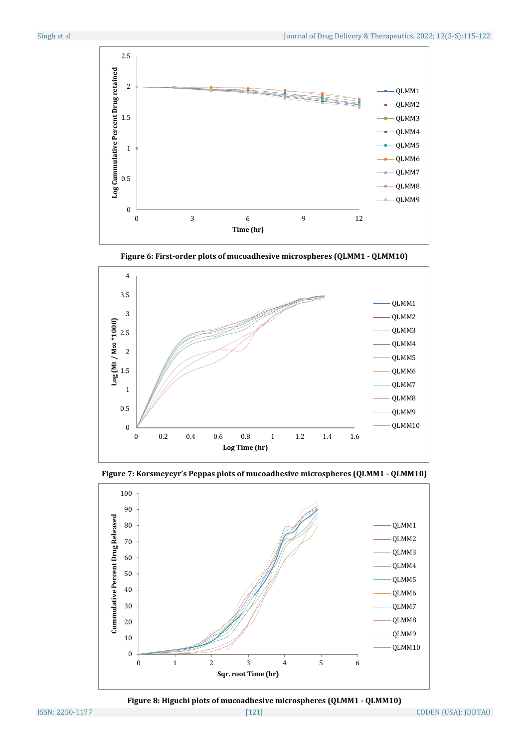

**Figure 6: First-order plots of mucoadhesive microspheres (QLMM1 - QLMM10)**







**Figure 8: Higuchi plots of mucoadhesive microspheres (QLMM1 - QLMM10)**